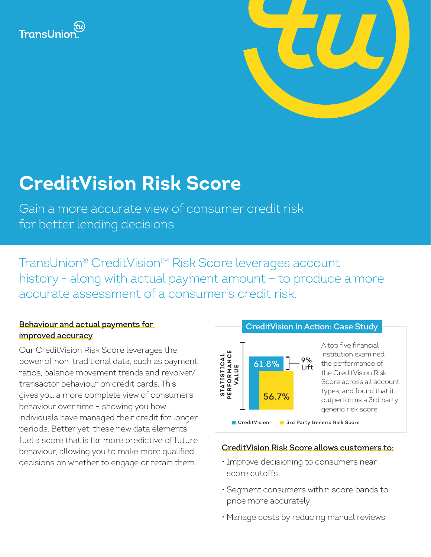



# **CreditVision Risk Score**

Gain a more accurate view of consumer credit risk for better lending decisions

TransUnion® CreditVision™ Risk Score leverages account history - along with actual payment amount - to produce a more accurate assessment of a consumer's credit risk.

### **Behaviour and actual payments for improved accuracy**

Our CreditVision Risk Score leverages the power of non-traditional data, such as payment ratios, balance movement trends and revolver/ transactor behaviour on credit cards. This gives you a more complete view of consumers' behaviour over time – showing you how individuals have managed their credit for longer periods. Better yet, these new data elements fuel a score that is far more predictive of future behaviour, allowing you to make more qualified decisions on whether to engage or retain them.



#### **CreditVision Risk Score allows customers to:**

- Improve decisioning to consumers near score cutoffs
- Segment consumers within score bands to price more accurately
-